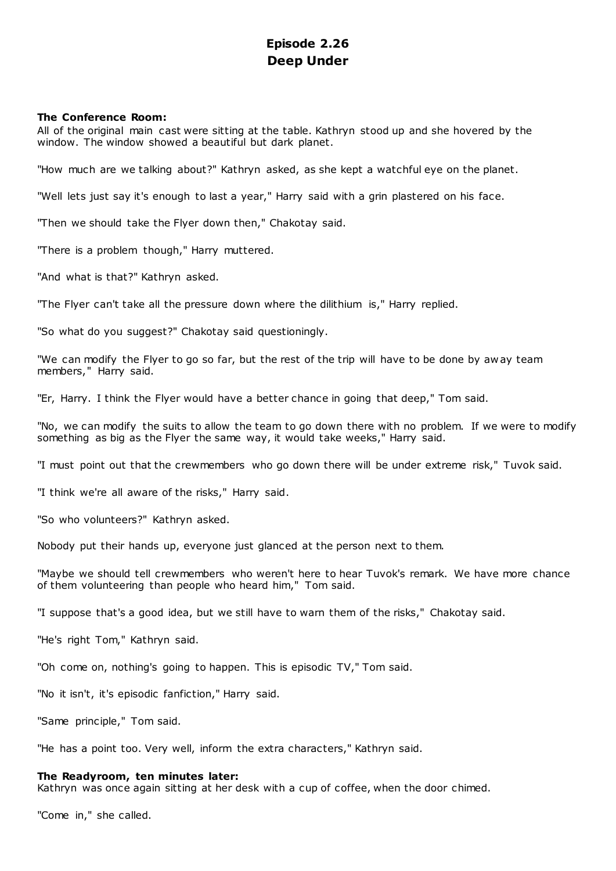# **Episode 2.26 Deep Under**

# **The Conference Room:**

All of the original main cast were sitting at the table. Kathryn stood up and she hovered by the window. The window showed a beautiful but dark planet.

"How much are we talking about?" Kathryn asked, as she kept a watchful eye on the planet.

"Well lets just say it's enough to last a year," Harry said with a grin plastered on his face.

"Then we should take the Flyer down then," Chakotay said.

"There is a problem though," Harry muttered.

"And what is that?" Kathryn asked.

"The Flyer can't take all the pressure down where the dilithium is," Harry replied.

"So what do you suggest?" Chakotay said questioningly.

"We can modify the Flyer to go so far, but the rest of the trip will have to be done by aw ay team members," Harry said.

"Er, Harry. I think the Flyer would have a better chance in going that deep," Tom said.

"No, we can modify the suits to allow the team to go down there with no problem. If we were to modify something as big as the Flyer the same way, it would take weeks," Harry said.

"I must point out that the crewmembers who go down there will be under extreme risk," Tuvok said.

"I think we're all aware of the risks," Harry said.

"So who volunteers?" Kathryn asked.

Nobody put their hands up, everyone just glanced at the person next to them.

"Maybe we should tell crewmembers who weren't here to hear Tuvok's remark. We have more chance of them volunteering than people who heard him," Tom said.

"I suppose that's a good idea, but we still have to warn them of the risks," Chakotay said.

"He's right Tom," Kathryn said.

"Oh come on, nothing's going to happen. This is episodic TV," Tom said.

"No it isn't, it's episodic fanfiction," Harry said.

"Same principle," Tom said.

"He has a point too. Very well, inform the extra characters," Kathryn said.

# **The Readyroom, ten minutes later:**

Kathryn was once again sitting at her desk with a cup of coffee, when the door chimed.

"Come in," she called.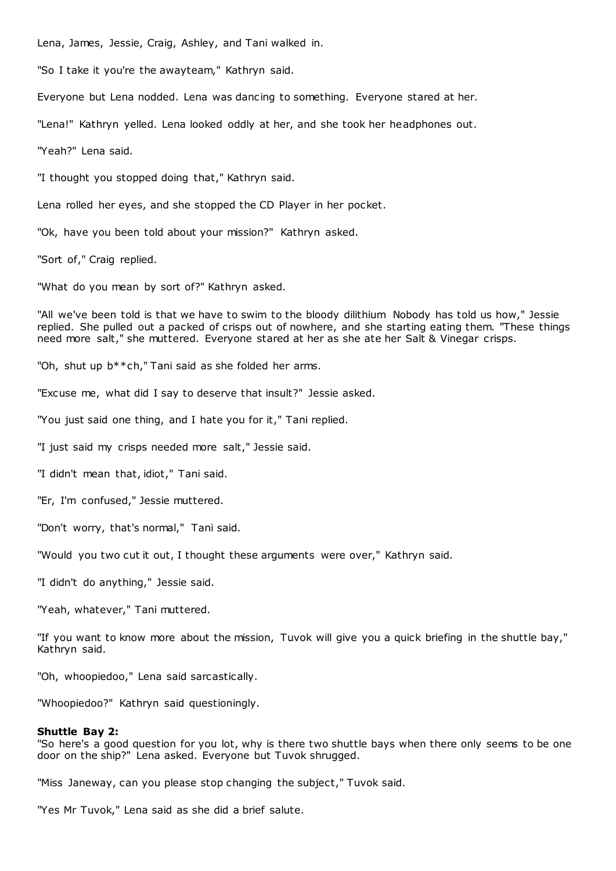Lena, James, Jessie, Craig, Ashley, and Tani walked in.

"So I take it you're the awayteam," Kathryn said.

Everyone but Lena nodded. Lena was dancing to something. Everyone stared at her.

"Lena!" Kathryn yelled. Lena looked oddly at her, and she took her headphones out.

"Yeah?" Lena said.

"I thought you stopped doing that," Kathryn said.

Lena rolled her eyes, and she stopped the CD Player in her pocket.

"Ok, have you been told about your mission?" Kathryn asked.

"Sort of," Craig replied.

"What do you mean by sort of?" Kathryn asked.

"All we've been told is that we have to swim to the bloody dilithium Nobody has told us how," Jessie replied. She pulled out a packed of crisps out of nowhere, and she starting eating them. "These things need more salt," she muttered. Everyone stared at her as she ate her Salt & Vinegar crisps.

"Oh, shut up b\*\*ch," Tani said as she folded her arms.

"Excuse me, what did I say to deserve that insult?" Jessie asked.

"You just said one thing, and I hate you for it," Tani replied.

"I just said my crisps needed more salt," Jessie said.

"I didn't mean that, idiot," Tani said.

"Er, I'm confused," Jessie muttered.

"Don't worry, that's normal," Tani said.

"Would you two cut it out, I thought these arguments were over," Kathryn said.

"I didn't do anything," Jessie said.

"Yeah, whatever," Tani muttered.

"If you want to know more about the mission, Tuvok will give you a quick briefing in the shuttle bay," Kathryn said.

"Oh, whoopiedoo," Lena said sarcastically.

"Whoopiedoo?" Kathryn said questioningly.

## **Shuttle Bay 2:**

"So here's a good question for you lot, why is there two shuttle bays when there only seems to be one door on the ship?" Lena asked. Everyone but Tuvok shrugged.

"Miss Janeway, can you please stop changing the subject," Tuvok said.

"Yes Mr Tuvok," Lena said as she did a brief salute.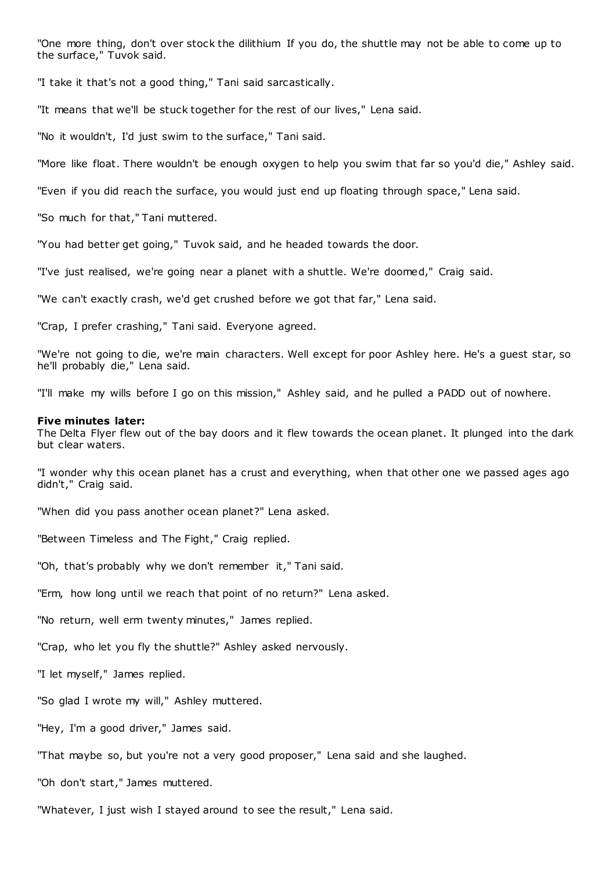"One more thing, don't over stock the dilithium If you do, the shuttle may not be able to come up to the surface," Tuvok said.

"I take it that's not a good thing," Tani said sarcastically.

"It means that we'll be stuck together for the rest of our lives," Lena said.

"No it wouldn't, I'd just swim to the surface," Tani said.

"More like float. There wouldn't be enough oxygen to help you swim that far so you'd die," Ashley said.

"Even if you did reach the surface, you would just end up floating through space," Lena said.

"So much for that," Tani muttered.

"You had better get going," Tuvok said, and he headed towards the door.

"I've just realised, we're going near a planet with a shuttle. We're doomed," Craig said.

"We can't exactly crash, we'd get crushed before we got that far," Lena said.

"Crap, I prefer crashing," Tani said. Everyone agreed.

"We're not going to die, we're main characters. Well except for poor Ashley here. He's a guest star, so he'll probably die," Lena said.

"I'll make my wills before I go on this mission," Ashley said, and he pulled a PADD out of nowhere.

#### **Five minutes later:**

The Delta Flyer flew out of the bay doors and it flew towards the ocean planet. It plunged into the dark but clear waters.

"I wonder why this ocean planet has a crust and everything, when that other one we passed ages ago didn't," Craig said.

"When did you pass another ocean planet?" Lena asked.

"Between Timeless and The Fight," Craig replied.

"Oh, that's probably why we don't remember it," Tani said.

"Erm, how long until we reach that point of no return?" Lena asked.

"No return, well erm twenty minutes," James replied.

"Crap, who let you fly the shuttle?" Ashley asked nervously.

"I let myself," James replied.

"So glad I wrote my will," Ashley muttered.

"Hey, I'm a good driver," James said.

"That maybe so, but you're not a very good proposer," Lena said and she laughed.

"Oh don't start," James muttered.

"Whatever, I just wish I stayed around to see the result," Lena said.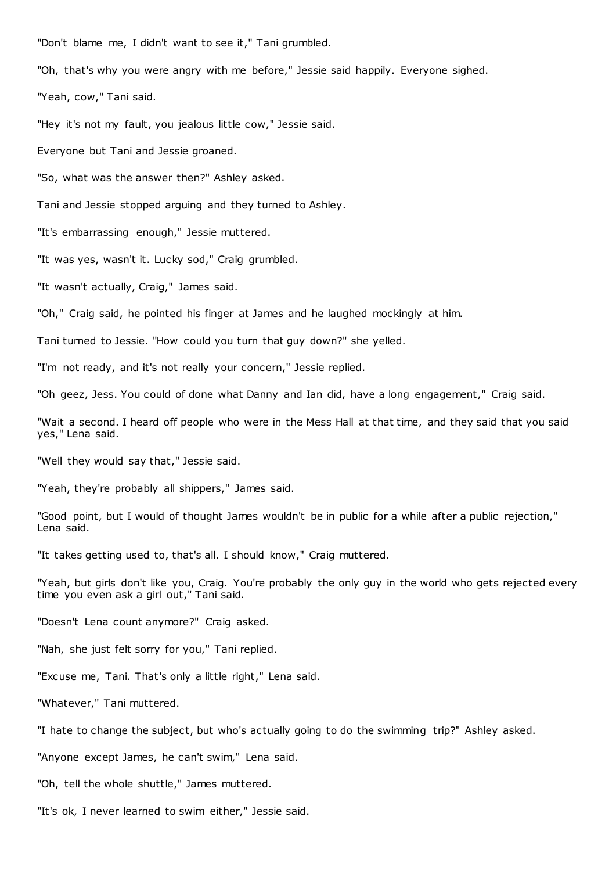"Don't blame me, I didn't want to see it," Tani grumbled.

"Oh, that's why you were angry with me before," Jessie said happily. Everyone sighed.

"Yeah, cow," Tani said.

"Hey it's not my fault, you jealous little cow," Jessie said.

Everyone but Tani and Jessie groaned.

"So, what was the answer then?" Ashley asked.

Tani and Jessie stopped arguing and they turned to Ashley.

"It's embarrassing enough," Jessie muttered.

"It was yes, wasn't it. Lucky sod," Craig grumbled.

"It wasn't actually, Craig," James said.

"Oh," Craig said, he pointed his finger at James and he laughed mockingly at him.

Tani turned to Jessie. "How could you turn that guy down?" she yelled.

"I'm not ready, and it's not really your concern," Jessie replied.

"Oh geez, Jess. You could of done what Danny and Ian did, have a long engagement," Craig said.

"Wait a second. I heard off people who were in the Mess Hall at that time, and they said that you said yes," Lena said.

"Well they would say that," Jessie said.

"Yeah, they're probably all shippers," James said.

"Good point, but I would of thought James wouldn't be in public for a while after a public rejection," Lena said.

"It takes getting used to, that's all. I should know," Craig muttered.

"Yeah, but girls don't like you, Craig. You're probably the only guy in the world who gets rejected every time you even ask a girl out," Tani said.

"Doesn't Lena count anymore?" Craig asked.

"Nah, she just felt sorry for you," Tani replied.

"Excuse me, Tani. That's only a little right," Lena said.

"Whatever," Tani muttered.

"I hate to change the subject, but who's actually going to do the swimming trip?" Ashley asked.

"Anyone except James, he can't swim," Lena said.

"Oh, tell the whole shuttle," James muttered.

"It's ok, I never learned to swim either," Jessie said.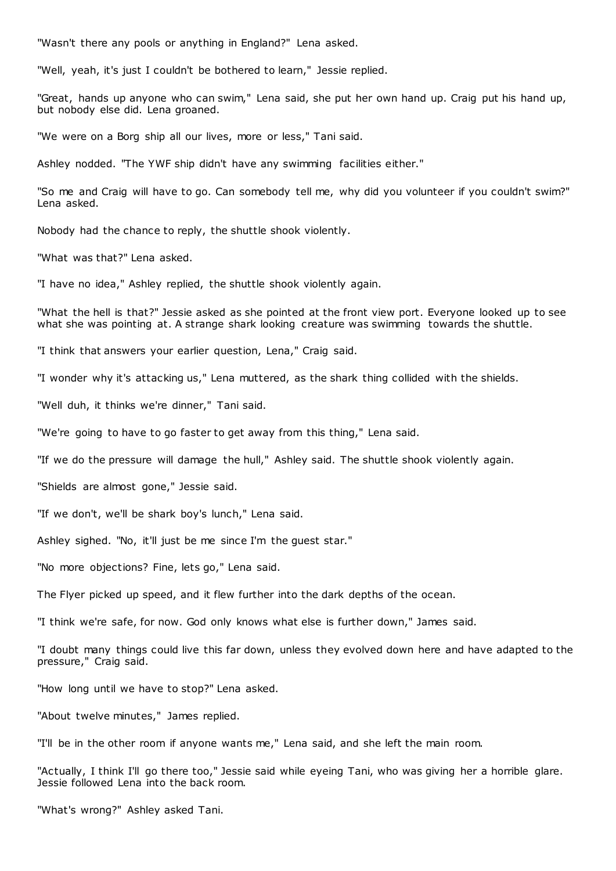"Wasn't there any pools or anything in England?" Lena asked.

"Well, yeah, it's just I couldn't be bothered to learn," Jessie replied.

"Great, hands up anyone who can swim," Lena said, she put her own hand up. Craig put his hand up, but nobody else did. Lena groaned.

"We were on a Borg ship all our lives, more or less," Tani said.

Ashley nodded. "The YWF ship didn't have any swimming facilities either."

"So me and Craig will have to go. Can somebody tell me, why did you volunteer if you couldn't swim?" Lena asked.

Nobody had the chance to reply, the shuttle shook violently.

"What was that?" Lena asked.

"I have no idea," Ashley replied, the shuttle shook violently again.

"What the hell is that?" Jessie asked as she pointed at the front view port. Everyone looked up to see what she was pointing at. A strange shark looking creature was swimming towards the shuttle.

"I think that answers your earlier question, Lena," Craig said.

"I wonder why it's attacking us," Lena muttered, as the shark thing collided with the shields.

"Well duh, it thinks we're dinner," Tani said.

"We're going to have to go faster to get away from this thing," Lena said.

"If we do the pressure will damage the hull," Ashley said. The shuttle shook violently again.

"Shields are almost gone," Jessie said.

"If we don't, we'll be shark boy's lunch," Lena said.

Ashley sighed. "No, it'll just be me since I'm the guest star."

"No more objections? Fine, lets go," Lena said.

The Flyer picked up speed, and it flew further into the dark depths of the ocean.

"I think we're safe, for now. God only knows what else is further down," James said.

"I doubt many things could live this far down, unless they evolved down here and have adapted to the pressure," Craig said.

"How long until we have to stop?" Lena asked.

"About twelve minutes," James replied.

"I'll be in the other room if anyone wants me," Lena said, and she left the main room.

"Actually, I think I'll go there too," Jessie said while eyeing Tani, who was giving her a horrible glare. Jessie followed Lena into the back room.

"What's wrong?" Ashley asked Tani.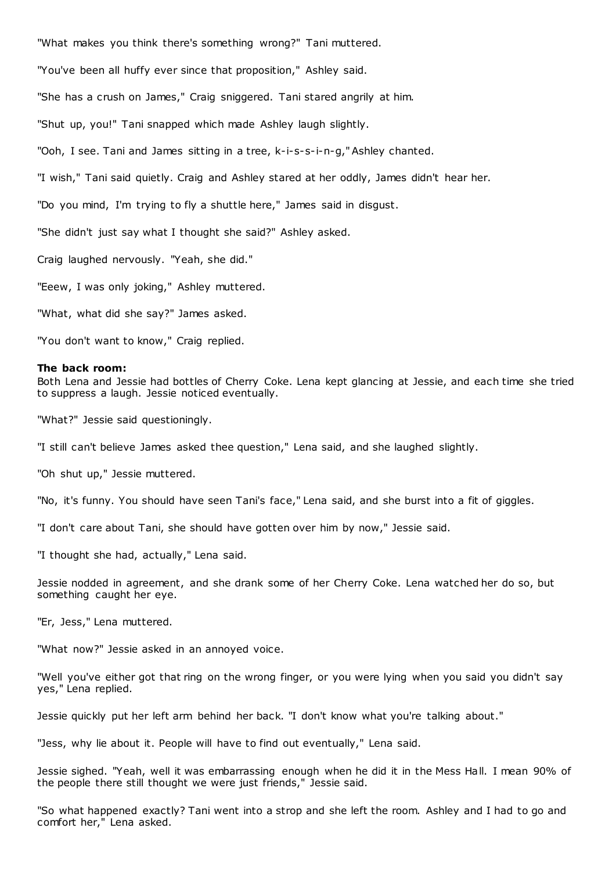"What makes you think there's something wrong?" Tani muttered. "You've been all huffy ever since that proposition," Ashley said. "She has a crush on James," Craig sniggered. Tani stared angrily at him. "Shut up, you!" Tani snapped which made Ashley laugh slightly. "Ooh, I see. Tani and James sitting in a tree, k-i-s-s-i-n-g," Ashley chanted. "I wish," Tani said quietly. Craig and Ashley stared at her oddly, James didn't hear her. "Do you mind, I'm trying to fly a shuttle here," James said in disgust.

"She didn't just say what I thought she said?" Ashley asked.

Craig laughed nervously. "Yeah, she did."

"Eeew, I was only joking," Ashley muttered.

"What, what did she say?" James asked.

"You don't want to know," Craig replied.

#### **The back room:**

Both Lena and Jessie had bottles of Cherry Coke. Lena kept glancing at Jessie, and each time she tried to suppress a laugh. Jessie noticed eventually.

"What?" Jessie said questioningly.

"I still can't believe James asked thee question," Lena said, and she laughed slightly.

"Oh shut up," Jessie muttered.

"No, it's funny. You should have seen Tani's face," Lena said, and she burst into a fit of giggles.

"I don't care about Tani, she should have gotten over him by now," Jessie said.

"I thought she had, actually," Lena said.

Jessie nodded in agreement, and she drank some of her Cherry Coke. Lena watched her do so, but something caught her eye.

"Er, Jess," Lena muttered.

"What now?" Jessie asked in an annoyed voice.

"Well you've either got that ring on the wrong finger, or you were lying when you said you didn't say yes," Lena replied.

Jessie quickly put her left arm behind her back. "I don't know what you're talking about."

"Jess, why lie about it. People will have to find out eventually," Lena said.

Jessie sighed. "Yeah, well it was embarrassing enough when he did it in the Mess Hall. I mean 90% of the people there still thought we were just friends," Jessie said.

"So what happened exactly? Tani went into a strop and she left the room. Ashley and I had to go and comfort her," Lena asked.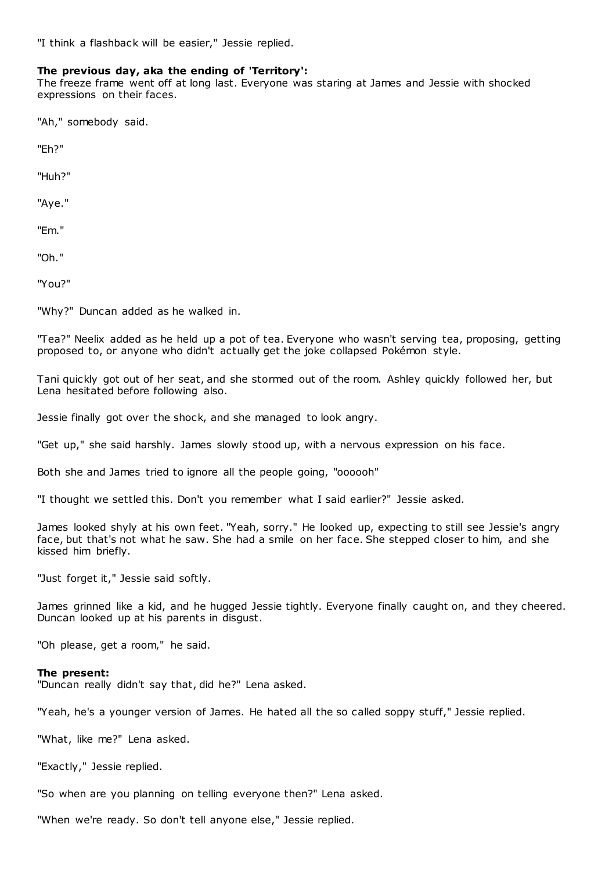"I think a flashback will be easier," Jessie replied.

## **The previous day, aka the ending of 'Territory':**

The freeze frame went off at long last. Everyone was staring at James and Jessie with shocked expressions on their faces.

"Ah," somebody said.

"Eh?"

"Huh?"

"Aye."

"Em."

"Oh."

"You?"

"Why?" Duncan added as he walked in.

"Tea?" Neelix added as he held up a pot of tea. Everyone who wasn't serving tea, proposing, getting proposed to, or anyone who didn't actually get the joke collapsed Pokémon style.

Tani quickly got out of her seat, and she stormed out of the room. Ashley quickly followed her, but Lena hesitated before following also.

Jessie finally got over the shock, and she managed to look angry.

"Get up," she said harshly. James slowly stood up, with a nervous expression on his face.

Both she and James tried to ignore all the people going, "oooooh"

"I thought we settled this. Don't you remember what I said earlier?" Jessie asked.

James looked shyly at his own feet. "Yeah, sorry." He looked up, expecting to still see Jessie's angry face, but that's not what he saw. She had a smile on her face. She stepped closer to him, and she kissed him briefly.

"Just forget it," Jessie said softly.

James grinned like a kid, and he hugged Jessie tightly. Everyone finally caught on, and they cheered. Duncan looked up at his parents in disgust.

"Oh please, get a room," he said.

# **The present:**

"Duncan really didn't say that, did he?" Lena asked.

"Yeah, he's a younger version of James. He hated all the so called soppy stuff," Jessie replied.

"What, like me?" Lena asked.

"Exactly," Jessie replied.

"So when are you planning on telling everyone then?" Lena asked.

"When we're ready. So don't tell anyone else," Jessie replied.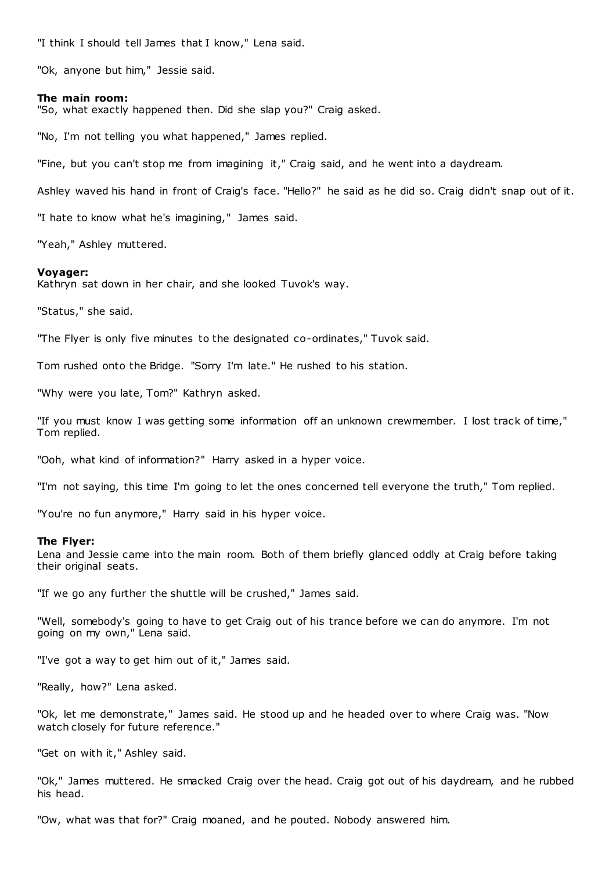"I think I should tell James that I know," Lena said.

"Ok, anyone but him," Jessie said.

## **The main room:**

"So, what exactly happened then. Did she slap you?" Craig asked.

"No, I'm not telling you what happened," James replied.

"Fine, but you can't stop me from imagining it," Craig said, and he went into a daydream.

Ashley waved his hand in front of Craig's face. "Hello?" he said as he did so. Craig didn't snap out of it.

"I hate to know what he's imagining," James said.

"Yeah," Ashley muttered.

#### **Voyager:**

Kathryn sat down in her chair, and she looked Tuvok's way.

"Status," she said.

"The Flyer is only five minutes to the designated co-ordinates," Tuvok said.

Tom rushed onto the Bridge. "Sorry I'm late." He rushed to his station.

"Why were you late, Tom?" Kathryn asked.

"If you must know I was getting some information off an unknown crewmember. I lost track of time," Tom replied.

"Ooh, what kind of information?" Harry asked in a hyper voice.

"I'm not saying, this time I'm going to let the ones concerned tell everyone the truth," Tom replied.

"You're no fun anymore," Harry said in his hyper voice.

#### **The Flyer:**

Lena and Jessie came into the main room. Both of them briefly glanced oddly at Craig before taking their original seats.

"If we go any further the shuttle will be crushed," James said.

"Well, somebody's going to have to get Craig out of his trance before we can do anymore. I'm not going on my own," Lena said.

"I've got a way to get him out of it," James said.

"Really, how?" Lena asked.

"Ok, let me demonstrate," James said. He stood up and he headed over to where Craig was. "Now watch closely for future reference."

"Get on with it," Ashley said.

"Ok," James muttered. He smacked Craig over the head. Craig got out of his daydream, and he rubbed his head.

"Ow, what was that for?" Craig moaned, and he pouted. Nobody answered him.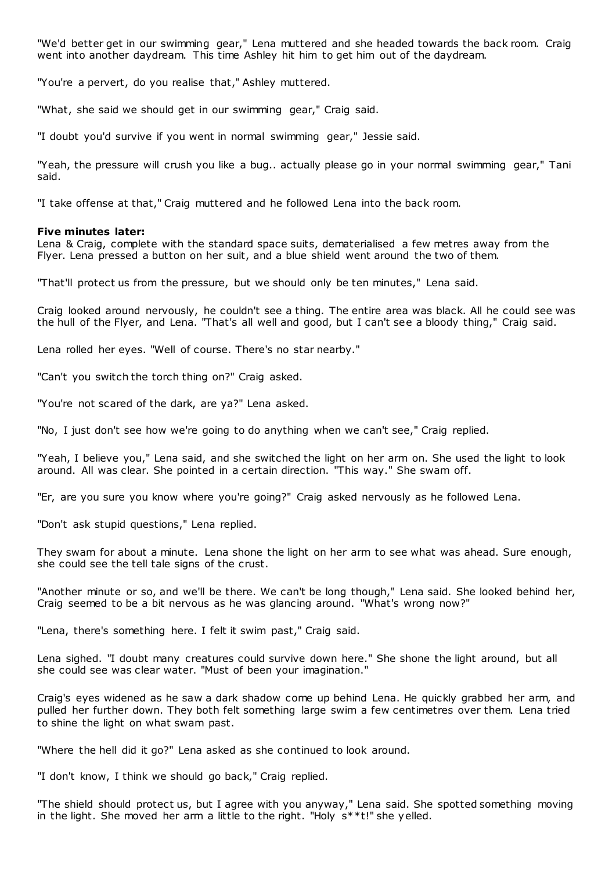"We'd better get in our swimming gear," Lena muttered and she headed towards the back room. Craig went into another daydream. This time Ashley hit him to get him out of the daydream.

"You're a pervert, do you realise that," Ashley muttered.

"What, she said we should get in our swimming gear," Craig said.

"I doubt you'd survive if you went in normal swimming gear," Jessie said.

"Yeah, the pressure will crush you like a bug.. actually please go in your normal swimming gear," Tani said.

"I take offense at that," Craig muttered and he followed Lena into the back room.

# **Five minutes later:**

Lena & Craig, complete with the standard space suits, dematerialised a few metres away from the Flyer. Lena pressed a button on her suit, and a blue shield went around the two of them.

"That'll protect us from the pressure, but we should only be ten minutes," Lena said.

Craig looked around nervously, he couldn't see a thing. The entire area was black. All he could see was the hull of the Flyer, and Lena. "That's all well and good, but I can't see a bloody thing," Craig said.

Lena rolled her eyes. "Well of course. There's no star nearby."

"Can't you switch the torch thing on?" Craig asked.

"You're not scared of the dark, are ya?" Lena asked.

"No, I just don't see how we're going to do anything when we can't see," Craig replied.

"Yeah, I believe you," Lena said, and she switched the light on her arm on. She used the light to look around. All was clear. She pointed in a certain direction. "This way." She swam off.

"Er, are you sure you know where you're going?" Craig asked nervously as he followed Lena.

"Don't ask stupid questions," Lena replied.

They swam for about a minute. Lena shone the light on her arm to see what was ahead. Sure enough, she could see the tell tale signs of the crust.

"Another minute or so, and we'll be there. We can't be long though," Lena said. She looked behind her, Craig seemed to be a bit nervous as he was glancing around. "What's wrong now?"

"Lena, there's something here. I felt it swim past," Craig said.

Lena sighed. "I doubt many creatures could survive down here." She shone the light around, but all she could see was clear water. "Must of been your imagination."

Craig's eyes widened as he saw a dark shadow come up behind Lena. He quickly grabbed her arm, and pulled her further down. They both felt something large swim a few centimetres over them. Lena tried to shine the light on what swam past.

"Where the hell did it go?" Lena asked as she continued to look around.

"I don't know, I think we should go back," Craig replied.

"The shield should protect us, but I agree with you anyway," Lena said. She spotted something moving in the light. She moved her arm a little to the right. "Holy s\*\*t!" she yelled.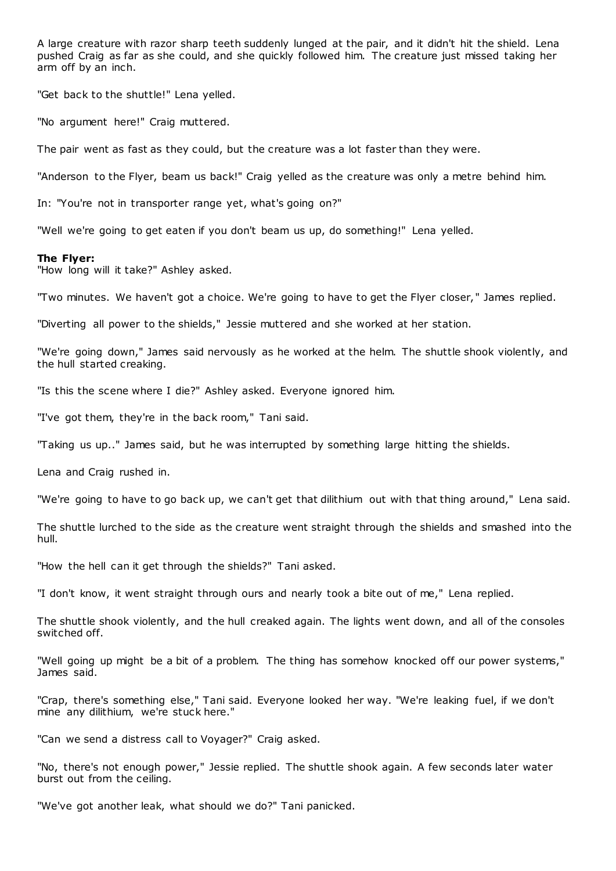A large creature with razor sharp teeth suddenly lunged at the pair, and it didn't hit the shield. Lena pushed Craig as far as she could, and she quickly followed him. The creature just missed taking her arm off by an inch.

"Get back to the shuttle!" Lena yelled.

"No argument here!" Craig muttered.

The pair went as fast as they could, but the creature was a lot faster than they were.

"Anderson to the Flyer, beam us back!" Craig yelled as the creature was only a metre behind him.

In: "You're not in transporter range yet, what's going on?"

"Well we're going to get eaten if you don't beam us up, do something!" Lena yelled.

## **The Flyer:**

"How long will it take?" Ashley asked.

"Two minutes. We haven't got a choice. We're going to have to get the Flyer closer, " James replied.

"Diverting all power to the shields," Jessie muttered and she worked at her station.

"We're going down," James said nervously as he worked at the helm. The shuttle shook violently, and the hull started creaking.

"Is this the scene where I die?" Ashley asked. Everyone ignored him.

"I've got them, they're in the back room," Tani said.

"Taking us up.." James said, but he was interrupted by something large hitting the shields.

Lena and Craig rushed in.

"We're going to have to go back up, we can't get that dilithium out with that thing around," Lena said.

The shuttle lurched to the side as the creature went straight through the shields and smashed into the hull.

"How the hell can it get through the shields?" Tani asked.

"I don't know, it went straight through ours and nearly took a bite out of me," Lena replied.

The shuttle shook violently, and the hull creaked again. The lights went down, and all of the consoles switched off.

"Well going up might be a bit of a problem. The thing has somehow knocked off our power systems," James said.

"Crap, there's something else," Tani said. Everyone looked her way. "We're leaking fuel, if we don't mine any dilithium, we're stuck here."

"Can we send a distress call to Voyager?" Craig asked.

"No, there's not enough power," Jessie replied. The shuttle shook again. A few seconds later water burst out from the ceiling.

"We've got another leak, what should we do?" Tani panicked.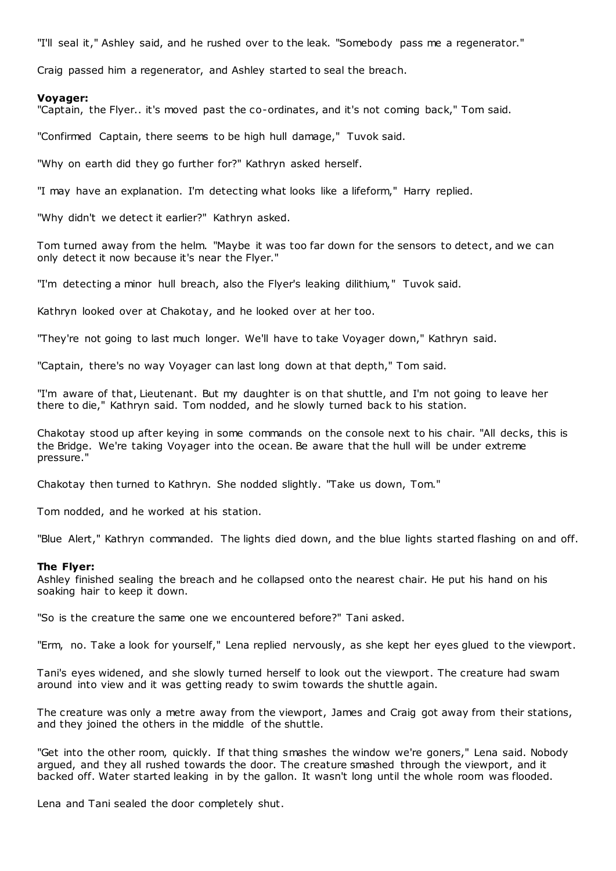"I'll seal it," Ashley said, and he rushed over to the leak. "Somebody pass me a regenerator."

Craig passed him a regenerator, and Ashley started to seal the breach.

# **Voyager:**

"Captain, the Flyer.. it's moved past the co-ordinates, and it's not coming back," Tom said.

"Confirmed Captain, there seems to be high hull damage," Tuvok said.

"Why on earth did they go further for?" Kathryn asked herself.

"I may have an explanation. I'm detecting what looks like a lifeform," Harry replied.

"Why didn't we detect it earlier?" Kathryn asked.

Tom turned away from the helm. "Maybe it was too far down for the sensors to detect, and we can only detect it now because it's near the Flyer."

"I'm detecting a minor hull breach, also the Flyer's leaking dilithium," Tuvok said.

Kathryn looked over at Chakotay, and he looked over at her too.

"They're not going to last much longer. We'll have to take Voyager down," Kathryn said.

"Captain, there's no way Voyager can last long down at that depth," Tom said.

"I'm aware of that, Lieutenant. But my daughter is on that shuttle, and I'm not going to leave her there to die," Kathryn said. Tom nodded, and he slowly turned back to his station.

Chakotay stood up after keying in some commands on the console next to his chair. "All decks, this is the Bridge. We're taking Voyager into the ocean. Be aware that the hull will be under extreme pressure."

Chakotay then turned to Kathryn. She nodded slightly. "Take us down, Tom."

Tom nodded, and he worked at his station.

"Blue Alert," Kathryn commanded. The lights died down, and the blue lights started flashing on and off.

# **The Flyer:**

Ashley finished sealing the breach and he collapsed onto the nearest chair. He put his hand on his soaking hair to keep it down.

"So is the creature the same one we encountered before?" Tani asked.

"Erm, no. Take a look for yourself," Lena replied nervously, as she kept her eyes glued to the viewport.

Tani's eyes widened, and she slowly turned herself to look out the viewport. The creature had swam around into view and it was getting ready to swim towards the shuttle again.

The creature was only a metre away from the viewport, James and Craig got away from their stations, and they joined the others in the middle of the shuttle.

"Get into the other room, quickly. If that thing smashes the window we're goners," Lena said. Nobody argued, and they all rushed towards the door. The creature smashed through the viewport, and it backed off. Water started leaking in by the gallon. It wasn't long until the whole room was flooded.

Lena and Tani sealed the door completely shut.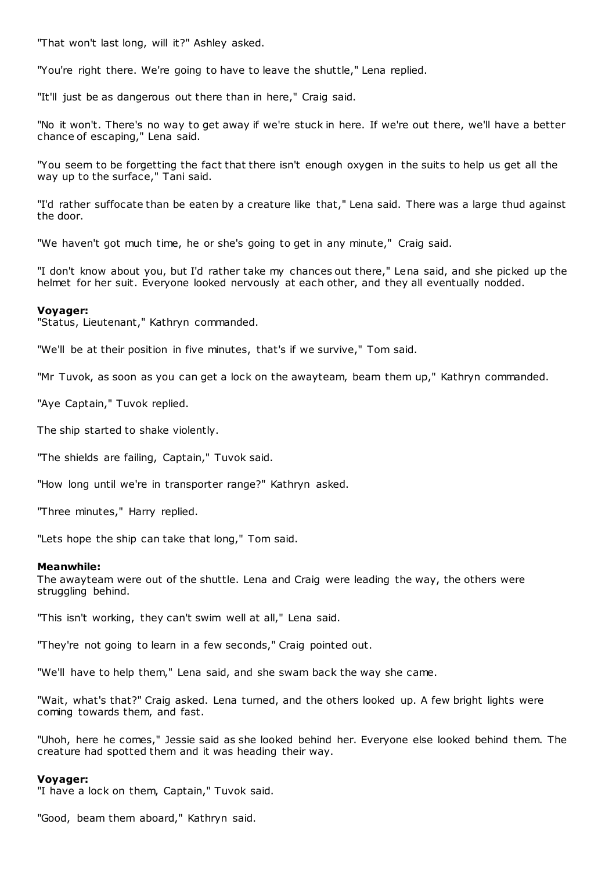"That won't last long, will it?" Ashley asked.

"You're right there. We're going to have to leave the shuttle," Lena replied.

"It'll just be as dangerous out there than in here," Craig said.

"No it won't. There's no way to get away if we're stuck in here. If we're out there, we'll have a better chance of escaping," Lena said.

"You seem to be forgetting the fact that there isn't enough oxygen in the suits to help us get all the way up to the surface," Tani said.

"I'd rather suffocate than be eaten by a creature like that," Lena said. There was a large thud against the door.

"We haven't got much time, he or she's going to get in any minute," Craig said.

"I don't know about you, but I'd rather take my chances out there," Lena said, and she picked up the helmet for her suit. Everyone looked nervously at each other, and they all eventually nodded.

## **Voyager:**

"Status, Lieutenant," Kathryn commanded.

"We'll be at their position in five minutes, that's if we survive," Tom said.

"Mr Tuvok, as soon as you can get a lock on the awayteam, beam them up," Kathryn commanded.

"Aye Captain," Tuvok replied.

The ship started to shake violently.

"The shields are failing, Captain," Tuvok said.

"How long until we're in transporter range?" Kathryn asked.

"Three minutes," Harry replied.

"Lets hope the ship can take that long," Tom said.

## **Meanwhile:**

The awayteam were out of the shuttle. Lena and Craig were leading the way, the others were struggling behind.

"This isn't working, they can't swim well at all," Lena said.

"They're not going to learn in a few seconds," Craig pointed out.

"We'll have to help them," Lena said, and she swam back the way she came.

"Wait, what's that?" Craig asked. Lena turned, and the others looked up. A few bright lights were coming towards them, and fast.

"Uhoh, here he comes," Jessie said as she looked behind her. Everyone else looked behind them. The creature had spotted them and it was heading their way.

## **Voyager:**

"I have a lock on them, Captain," Tuvok said.

"Good, beam them aboard," Kathryn said.